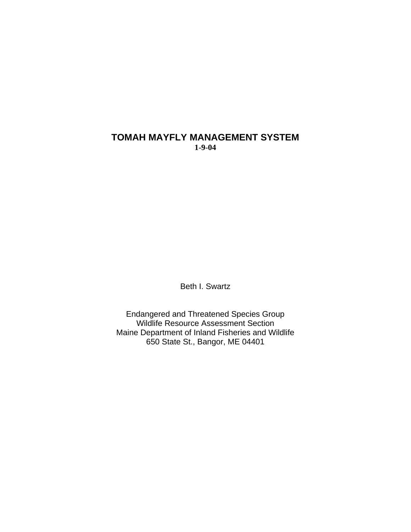## **TOMAH MAYFLY MANAGEMENT SYSTEM 1-9-04**

Beth I. Swartz

Endangered and Threatened Species Group Wildlife Resource Assessment Section Maine Department of Inland Fisheries and Wildlife 650 State St., Bangor, ME 04401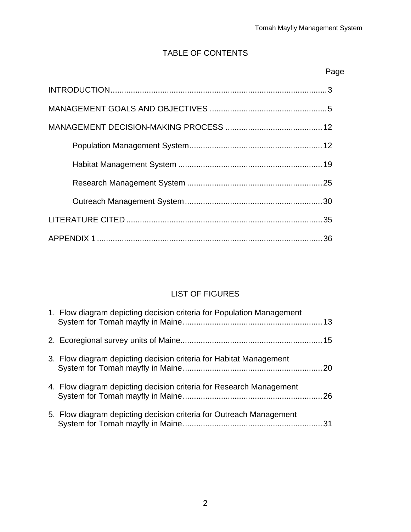## TABLE OF CONTENTS

## Page

## LIST OF FIGURES

| 1. Flow diagram depicting decision criteria for Population Management |  |
|-----------------------------------------------------------------------|--|
|                                                                       |  |
| 3. Flow diagram depicting decision criteria for Habitat Management    |  |
| 4. Flow diagram depicting decision criteria for Research Management   |  |
| 5. Flow diagram depicting decision criteria for Outreach Management   |  |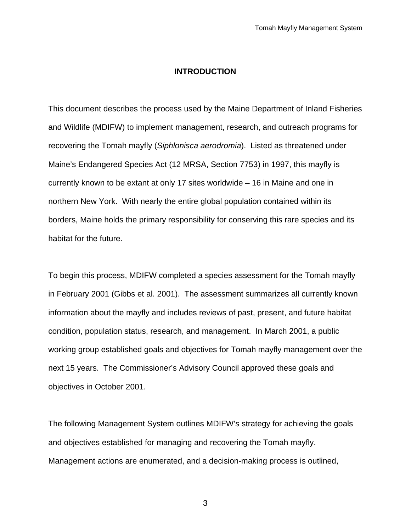#### **INTRODUCTION**

This document describes the process used by the Maine Department of Inland Fisheries and Wildlife (MDIFW) to implement management, research, and outreach programs for recovering the Tomah mayfly (*Siphlonisca aerodromia*). Listed as threatened under Maine's Endangered Species Act (12 MRSA, Section 7753) in 1997, this mayfly is currently known to be extant at only 17 sites worldwide – 16 in Maine and one in northern New York. With nearly the entire global population contained within its borders, Maine holds the primary responsibility for conserving this rare species and its habitat for the future.

To begin this process, MDIFW completed a species assessment for the Tomah mayfly in February 2001 (Gibbs et al. 2001). The assessment summarizes all currently known information about the mayfly and includes reviews of past, present, and future habitat condition, population status, research, and management. In March 2001, a public working group established goals and objectives for Tomah mayfly management over the next 15 years. The Commissioner's Advisory Council approved these goals and objectives in October 2001.

The following Management System outlines MDIFW's strategy for achieving the goals and objectives established for managing and recovering the Tomah mayfly. Management actions are enumerated, and a decision-making process is outlined,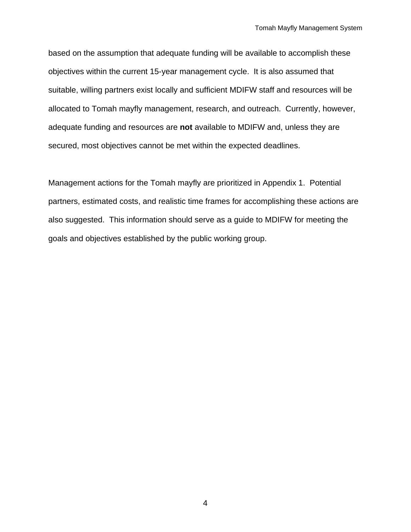based on the assumption that adequate funding will be available to accomplish these objectives within the current 15-year management cycle. It is also assumed that suitable, willing partners exist locally and sufficient MDIFW staff and resources will be allocated to Tomah mayfly management, research, and outreach. Currently, however, adequate funding and resources are **not** available to MDIFW and, unless they are secured, most objectives cannot be met within the expected deadlines.

Management actions for the Tomah mayfly are prioritized in Appendix 1. Potential partners, estimated costs, and realistic time frames for accomplishing these actions are also suggested. This information should serve as a guide to MDIFW for meeting the goals and objectives established by the public working group.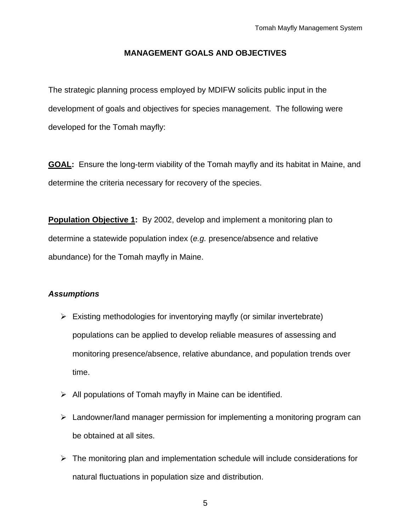#### **MANAGEMENT GOALS AND OBJECTIVES**

The strategic planning process employed by MDIFW solicits public input in the development of goals and objectives for species management. The following were developed for the Tomah mayfly:

**GOAL:** Ensure the long-term viability of the Tomah mayfly and its habitat in Maine, and determine the criteria necessary for recovery of the species.

**Population Objective 1:** By 2002, develop and implement a monitoring plan to determine a statewide population index (*e.g.* presence/absence and relative abundance) for the Tomah mayfly in Maine.

#### *Assumptions*

- $\triangleright$  Existing methodologies for inventorying mayfly (or similar invertebrate) populations can be applied to develop reliable measures of assessing and monitoring presence/absence, relative abundance, and population trends over time.
- $\triangleright$  All populations of Tomah mayfly in Maine can be identified.
- $\triangleright$  Landowner/land manager permission for implementing a monitoring program can be obtained at all sites.
- $\triangleright$  The monitoring plan and implementation schedule will include considerations for natural fluctuations in population size and distribution.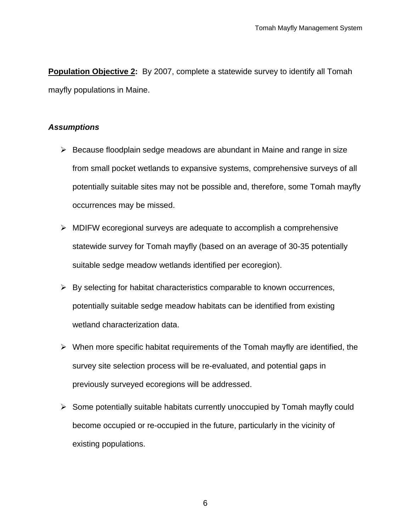**Population Objective 2:** By 2007, complete a statewide survey to identify all Tomah mayfly populations in Maine.

## *Assumptions*

- $\triangleright$  Because floodplain sedge meadows are abundant in Maine and range in size from small pocket wetlands to expansive systems, comprehensive surveys of all potentially suitable sites may not be possible and, therefore, some Tomah mayfly occurrences may be missed.
- $\triangleright$  MDIFW ecoregional surveys are adequate to accomplish a comprehensive statewide survey for Tomah mayfly (based on an average of 30-35 potentially suitable sedge meadow wetlands identified per ecoregion).
- $\triangleright$  By selecting for habitat characteristics comparable to known occurrences, potentially suitable sedge meadow habitats can be identified from existing wetland characterization data.
- $\triangleright$  When more specific habitat requirements of the Tomah mayfly are identified, the survey site selection process will be re-evaluated, and potential gaps in previously surveyed ecoregions will be addressed.
- $\triangleright$  Some potentially suitable habitats currently unoccupied by Tomah mayfly could become occupied or re-occupied in the future, particularly in the vicinity of existing populations.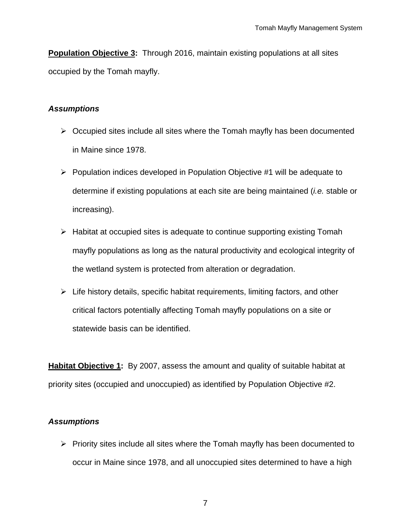**Population Objective 3:** Through 2016, maintain existing populations at all sites occupied by the Tomah mayfly.

#### *Assumptions*

- $\triangleright$  Occupied sites include all sites where the Tomah mayfly has been documented in Maine since 1978.
- $\triangleright$  Population indices developed in Population Objective #1 will be adequate to determine if existing populations at each site are being maintained (*i.e.* stable or increasing).
- $\triangleright$  Habitat at occupied sites is adequate to continue supporting existing Tomah mayfly populations as long as the natural productivity and ecological integrity of the wetland system is protected from alteration or degradation.
- $\triangleright$  Life history details, specific habitat requirements, limiting factors, and other critical factors potentially affecting Tomah mayfly populations on a site or statewide basis can be identified.

**Habitat Objective 1:** By 2007, assess the amount and quality of suitable habitat at priority sites (occupied and unoccupied) as identified by Population Objective #2.

## *Assumptions*

 $\triangleright$  Priority sites include all sites where the Tomah mayfly has been documented to occur in Maine since 1978, and all unoccupied sites determined to have a high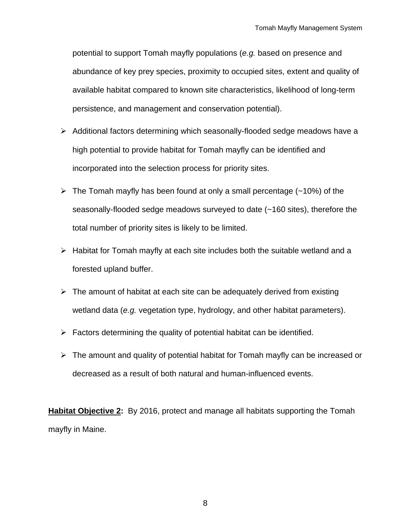potential to support Tomah mayfly populations (*e.g.* based on presence and abundance of key prey species, proximity to occupied sites, extent and quality of available habitat compared to known site characteristics, likelihood of long-term persistence, and management and conservation potential).

- ¾ Additional factors determining which seasonally-flooded sedge meadows have a high potential to provide habitat for Tomah mayfly can be identified and incorporated into the selection process for priority sites.
- $\triangleright$  The Tomah mayfly has been found at only a small percentage (~10%) of the seasonally-flooded sedge meadows surveyed to date (~160 sites), therefore the total number of priority sites is likely to be limited.
- $\triangleright$  Habitat for Tomah mayfly at each site includes both the suitable wetland and a forested upland buffer.
- $\triangleright$  The amount of habitat at each site can be adequately derived from existing wetland data (*e.g.* vegetation type, hydrology, and other habitat parameters).
- $\triangleright$  Factors determining the quality of potential habitat can be identified.
- $\triangleright$  The amount and quality of potential habitat for Tomah mayfly can be increased or decreased as a result of both natural and human-influenced events.

**Habitat Objective 2:** By 2016, protect and manage all habitats supporting the Tomah mayfly in Maine.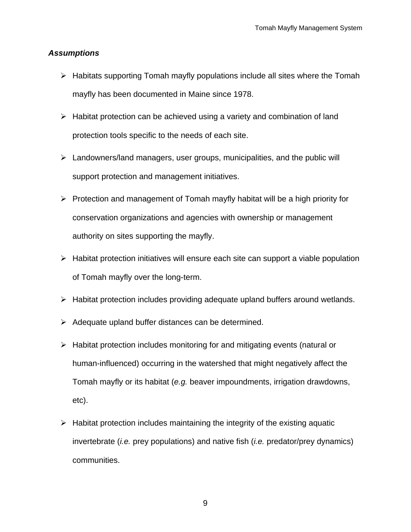#### *Assumptions*

- $\triangleright$  Habitats supporting Tomah mayfly populations include all sites where the Tomah mayfly has been documented in Maine since 1978.
- $\triangleright$  Habitat protection can be achieved using a variety and combination of land protection tools specific to the needs of each site.
- $\triangleright$  Landowners/land managers, user groups, municipalities, and the public will support protection and management initiatives.
- $\triangleright$  Protection and management of Tomah mayfly habitat will be a high priority for conservation organizations and agencies with ownership or management authority on sites supporting the mayfly.
- $\triangleright$  Habitat protection initiatives will ensure each site can support a viable population of Tomah mayfly over the long-term.
- $\triangleright$  Habitat protection includes providing adequate upland buffers around wetlands.
- $\triangleright$  Adequate upland buffer distances can be determined.
- $\triangleright$  Habitat protection includes monitoring for and mitigating events (natural or human-influenced) occurring in the watershed that might negatively affect the Tomah mayfly or its habitat (*e.g.* beaver impoundments, irrigation drawdowns, etc).
- $\triangleright$  Habitat protection includes maintaining the integrity of the existing aquatic invertebrate (*i.e.* prey populations) and native fish (*i.e.* predator/prey dynamics) communities.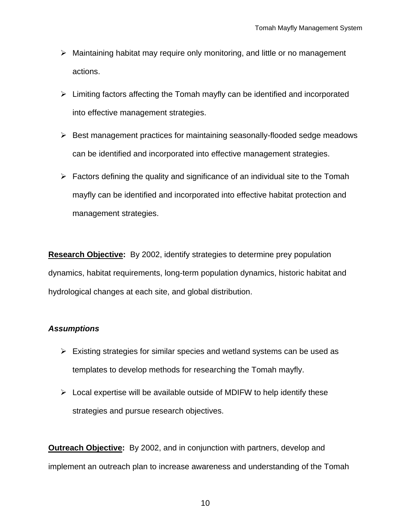- $\triangleright$  Maintaining habitat may require only monitoring, and little or no management actions.
- $\triangleright$  Limiting factors affecting the Tomah mayfly can be identified and incorporated into effective management strategies.
- $\triangleright$  Best management practices for maintaining seasonally-flooded sedge meadows can be identified and incorporated into effective management strategies.
- $\triangleright$  Factors defining the quality and significance of an individual site to the Tomah mayfly can be identified and incorporated into effective habitat protection and management strategies.

**Research Objective:** By 2002, identify strategies to determine prey population dynamics, habitat requirements, long-term population dynamics, historic habitat and hydrological changes at each site, and global distribution.

### *Assumptions*

- $\triangleright$  Existing strategies for similar species and wetland systems can be used as templates to develop methods for researching the Tomah mayfly.
- $\triangleright$  Local expertise will be available outside of MDIFW to help identify these strategies and pursue research objectives.

**Outreach Objective:** By 2002, and in conjunction with partners, develop and implement an outreach plan to increase awareness and understanding of the Tomah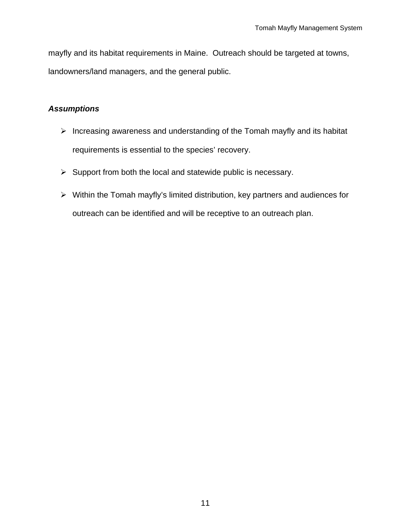mayfly and its habitat requirements in Maine. Outreach should be targeted at towns, landowners/land managers, and the general public.

## *Assumptions*

- $\triangleright$  Increasing awareness and understanding of the Tomah mayfly and its habitat requirements is essential to the species' recovery.
- $\triangleright$  Support from both the local and statewide public is necessary.
- $\triangleright$  Within the Tomah mayfly's limited distribution, key partners and audiences for outreach can be identified and will be receptive to an outreach plan.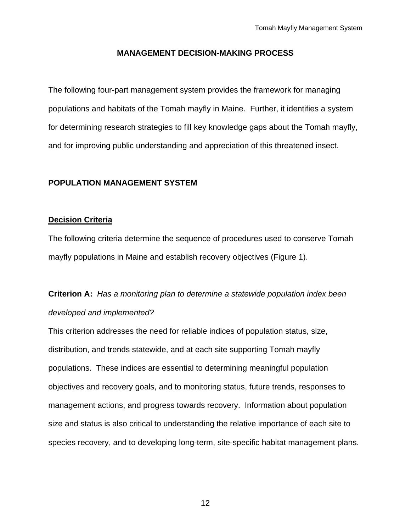#### **MANAGEMENT DECISION-MAKING PROCESS**

The following four-part management system provides the framework for managing populations and habitats of the Tomah mayfly in Maine. Further, it identifies a system for determining research strategies to fill key knowledge gaps about the Tomah mayfly, and for improving public understanding and appreciation of this threatened insect.

#### **POPULATION MANAGEMENT SYSTEM**

#### **Decision Criteria**

The following criteria determine the sequence of procedures used to conserve Tomah mayfly populations in Maine and establish recovery objectives (Figure 1).

# **Criterion A:** *Has a monitoring plan to determine a statewide population index been developed and implemented?*

This criterion addresses the need for reliable indices of population status, size, distribution, and trends statewide, and at each site supporting Tomah mayfly populations. These indices are essential to determining meaningful population objectives and recovery goals, and to monitoring status, future trends, responses to management actions, and progress towards recovery. Information about population size and status is also critical to understanding the relative importance of each site to species recovery, and to developing long-term, site-specific habitat management plans.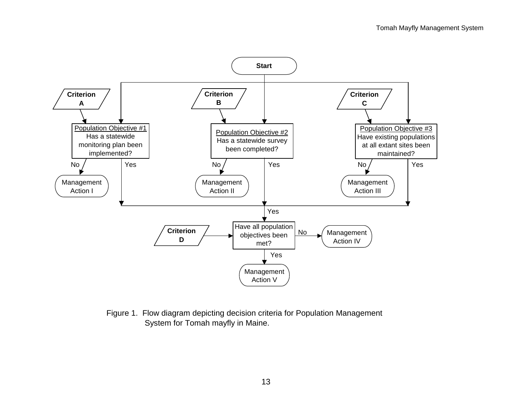

Figure 1. Flow diagram depicting decision criteria for Population Management System for Tomah mayfly in Maine.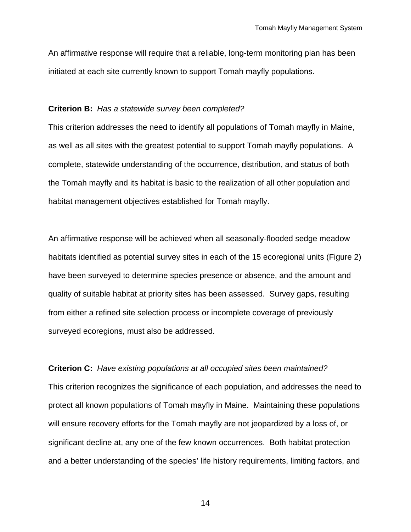An affirmative response will require that a reliable, long-term monitoring plan has been initiated at each site currently known to support Tomah mayfly populations.

#### **Criterion B:** *Has a statewide survey been completed?*

This criterion addresses the need to identify all populations of Tomah mayfly in Maine, as well as all sites with the greatest potential to support Tomah mayfly populations. A complete, statewide understanding of the occurrence, distribution, and status of both the Tomah mayfly and its habitat is basic to the realization of all other population and habitat management objectives established for Tomah mayfly.

An affirmative response will be achieved when all seasonally-flooded sedge meadow habitats identified as potential survey sites in each of the 15 ecoregional units (Figure 2) have been surveyed to determine species presence or absence, and the amount and quality of suitable habitat at priority sites has been assessed. Survey gaps, resulting from either a refined site selection process or incomplete coverage of previously surveyed ecoregions, must also be addressed.

#### **Criterion C:** *Have existing populations at all occupied sites been maintained?*

This criterion recognizes the significance of each population, and addresses the need to protect all known populations of Tomah mayfly in Maine. Maintaining these populations will ensure recovery efforts for the Tomah mayfly are not jeopardized by a loss of, or significant decline at, any one of the few known occurrences. Both habitat protection and a better understanding of the species' life history requirements, limiting factors, and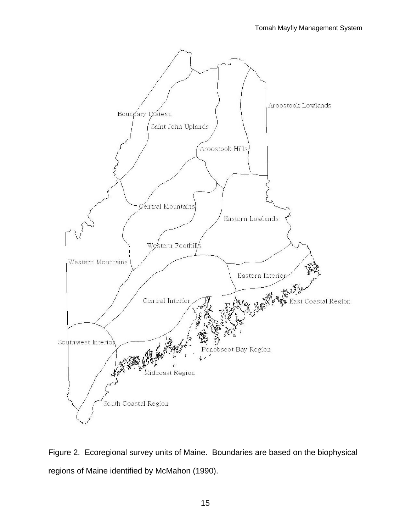

Figure 2. Ecoregional survey units of Maine. Boundaries are based on the biophysical regions of Maine identified by McMahon (1990).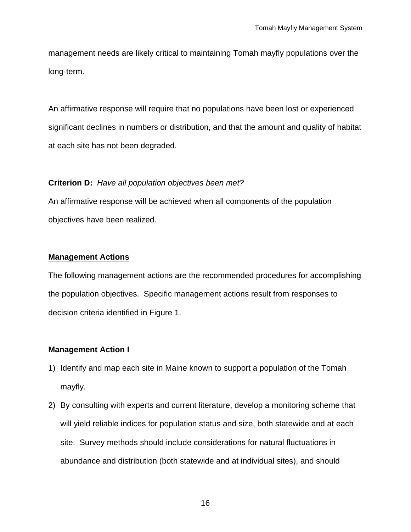management needs are likely critical to maintaining Tomah mayfly populations over the long-term.

An affirmative response will require that no populations have been lost or experienced significant declines in numbers or distribution, and that the amount and quality of habitat at each site has not been degraded.

### **Criterion D:** *Have all population objectives been met?*

An affirmative response will be achieved when all components of the population objectives have been realized.

### **Management Actions**

The following management actions are the recommended procedures for accomplishing the population objectives. Specific management actions result from responses to decision criteria identified in Figure 1.

### **Management Action I**

- 1) Identify and map each site in Maine known to support a population of the Tomah mayfly.
- 2) By consulting with experts and current literature, develop a monitoring scheme that will yield reliable indices for population status and size, both statewide and at each site. Survey methods should include considerations for natural fluctuations in abundance and distribution (both statewide and at individual sites), and should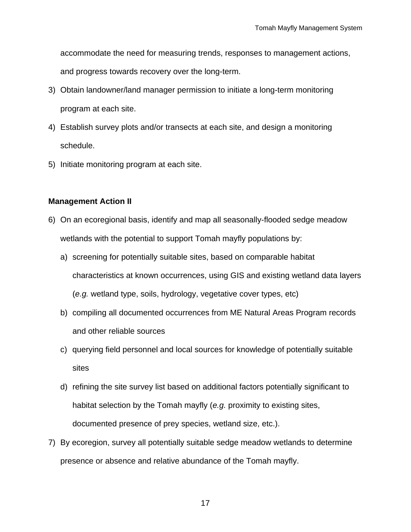accommodate the need for measuring trends, responses to management actions,

and progress towards recovery over the long-term.

- 3) Obtain landowner/land manager permission to initiate a long-term monitoring program at each site.
- 4) Establish survey plots and/or transects at each site, and design a monitoring schedule.
- 5) Initiate monitoring program at each site.

### **Management Action II**

- 6) On an ecoregional basis, identify and map all seasonally-flooded sedge meadow wetlands with the potential to support Tomah mayfly populations by:
	- a) screening for potentially suitable sites, based on comparable habitat characteristics at known occurrences, using GIS and existing wetland data layers (*e.g.* wetland type, soils, hydrology, vegetative cover types, etc)
	- b) compiling all documented occurrences from ME Natural Areas Program records and other reliable sources
	- c) querying field personnel and local sources for knowledge of potentially suitable sites
	- d) refining the site survey list based on additional factors potentially significant to habitat selection by the Tomah mayfly (*e.g.* proximity to existing sites, documented presence of prey species, wetland size, etc.).
- 7) By ecoregion, survey all potentially suitable sedge meadow wetlands to determine presence or absence and relative abundance of the Tomah mayfly.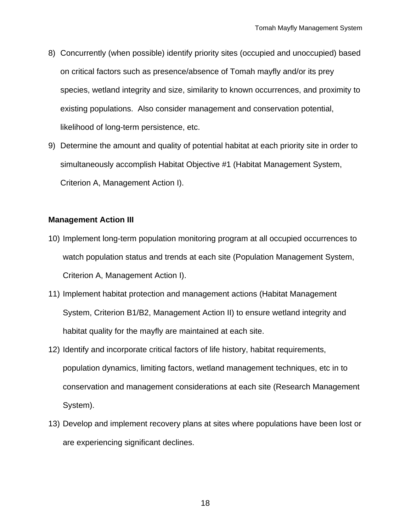- 8) Concurrently (when possible) identify priority sites (occupied and unoccupied) based on critical factors such as presence/absence of Tomah mayfly and/or its prey species, wetland integrity and size, similarity to known occurrences, and proximity to existing populations. Also consider management and conservation potential, likelihood of long-term persistence, etc.
- 9) Determine the amount and quality of potential habitat at each priority site in order to simultaneously accomplish Habitat Objective #1 (Habitat Management System, Criterion A, Management Action I).

#### **Management Action III**

- 10) Implement long-term population monitoring program at all occupied occurrences to watch population status and trends at each site (Population Management System, Criterion A, Management Action I).
- 11) Implement habitat protection and management actions (Habitat Management System, Criterion B1/B2, Management Action II) to ensure wetland integrity and habitat quality for the mayfly are maintained at each site.
- 12) Identify and incorporate critical factors of life history, habitat requirements, population dynamics, limiting factors, wetland management techniques, etc in to conservation and management considerations at each site (Research Management System).
- 13) Develop and implement recovery plans at sites where populations have been lost or are experiencing significant declines.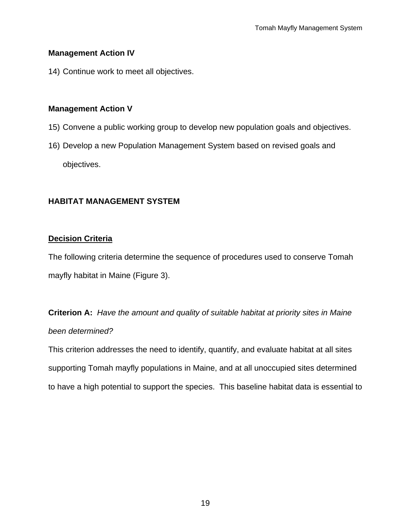#### **Management Action IV**

14) Continue work to meet all objectives.

#### **Management Action V**

- 15) Convene a public working group to develop new population goals and objectives.
- 16) Develop a new Population Management System based on revised goals and objectives.

### **HABITAT MANAGEMENT SYSTEM**

#### **Decision Criteria**

The following criteria determine the sequence of procedures used to conserve Tomah mayfly habitat in Maine (Figure 3).

**Criterion A:** *Have the amount and quality of suitable habitat at priority sites in Maine been determined?* 

This criterion addresses the need to identify, quantify, and evaluate habitat at all sites supporting Tomah mayfly populations in Maine, and at all unoccupied sites determined to have a high potential to support the species. This baseline habitat data is essential to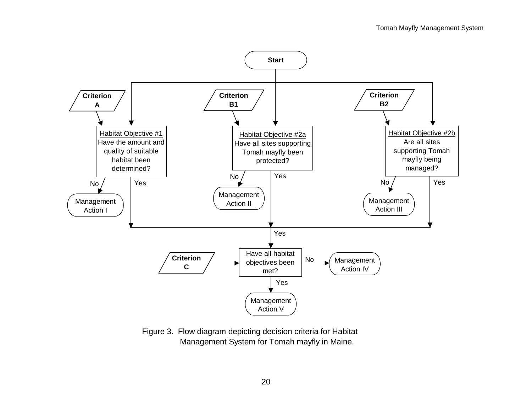

Figure 3. Flow diagram depicting decision criteria for Habitat Management System for Tomah mayfly in Maine.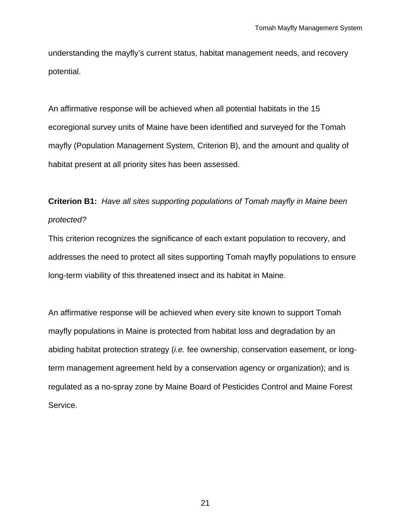understanding the mayfly's current status, habitat management needs, and recovery potential.

An affirmative response will be achieved when all potential habitats in the 15 ecoregional survey units of Maine have been identified and surveyed for the Tomah mayfly (Population Management System, Criterion B), and the amount and quality of habitat present at all priority sites has been assessed.

# **Criterion B1:** *Have all sites supporting populations of Tomah mayfly in Maine been protected?*

This criterion recognizes the significance of each extant population to recovery, and addresses the need to protect all sites supporting Tomah mayfly populations to ensure long-term viability of this threatened insect and its habitat in Maine.

An affirmative response will be achieved when every site known to support Tomah mayfly populations in Maine is protected from habitat loss and degradation by an abiding habitat protection strategy (*i.e.* fee ownership, conservation easement, or longterm management agreement held by a conservation agency or organization); and is regulated as a no-spray zone by Maine Board of Pesticides Control and Maine Forest Service.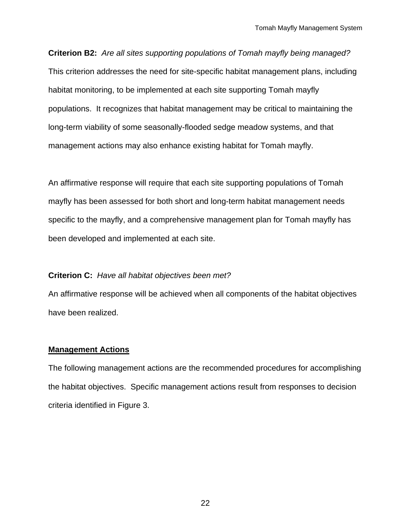**Criterion B2:** *Are all sites supporting populations of Tomah mayfly being managed?* This criterion addresses the need for site-specific habitat management plans, including habitat monitoring, to be implemented at each site supporting Tomah mayfly populations. It recognizes that habitat management may be critical to maintaining the long-term viability of some seasonally-flooded sedge meadow systems, and that management actions may also enhance existing habitat for Tomah mayfly.

An affirmative response will require that each site supporting populations of Tomah mayfly has been assessed for both short and long-term habitat management needs specific to the mayfly, and a comprehensive management plan for Tomah mayfly has been developed and implemented at each site.

#### **Criterion C:** *Have all habitat objectives been met?*

An affirmative response will be achieved when all components of the habitat objectives have been realized.

#### **Management Actions**

The following management actions are the recommended procedures for accomplishing the habitat objectives. Specific management actions result from responses to decision criteria identified in Figure 3.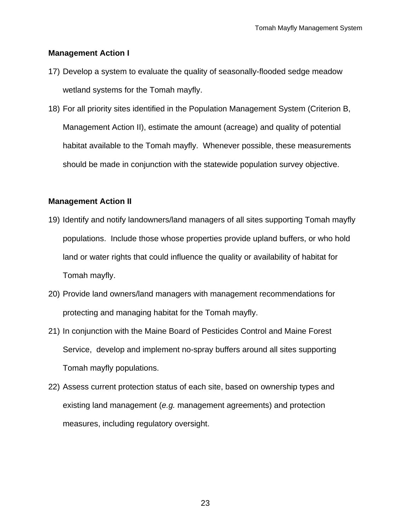#### **Management Action I**

- 17) Develop a system to evaluate the quality of seasonally-flooded sedge meadow wetland systems for the Tomah mayfly.
- 18) For all priority sites identified in the Population Management System (Criterion B, Management Action II), estimate the amount (acreage) and quality of potential habitat available to the Tomah mayfly. Whenever possible, these measurements should be made in conjunction with the statewide population survey objective.

#### **Management Action II**

- 19) Identify and notify landowners/land managers of all sites supporting Tomah mayfly populations. Include those whose properties provide upland buffers, or who hold land or water rights that could influence the quality or availability of habitat for Tomah mayfly.
- 20) Provide land owners/land managers with management recommendations for protecting and managing habitat for the Tomah mayfly.
- 21) In conjunction with the Maine Board of Pesticides Control and Maine Forest Service, develop and implement no-spray buffers around all sites supporting Tomah mayfly populations.
- 22) Assess current protection status of each site, based on ownership types and existing land management (*e.g.* management agreements) and protection measures, including regulatory oversight.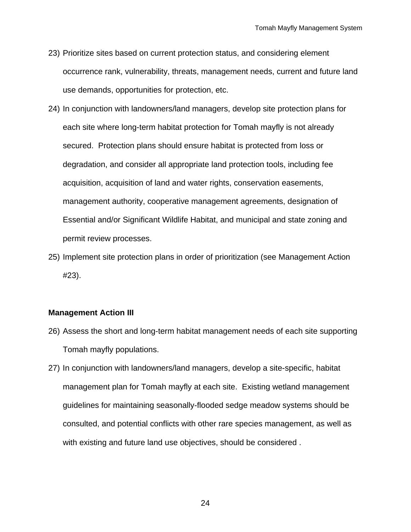- 23) Prioritize sites based on current protection status, and considering element occurrence rank, vulnerability, threats, management needs, current and future land use demands, opportunities for protection, etc.
- 24) In conjunction with landowners/land managers, develop site protection plans for each site where long-term habitat protection for Tomah mayfly is not already secured. Protection plans should ensure habitat is protected from loss or degradation, and consider all appropriate land protection tools, including fee acquisition, acquisition of land and water rights, conservation easements, management authority, cooperative management agreements, designation of Essential and/or Significant Wildlife Habitat, and municipal and state zoning and permit review processes.
- 25) Implement site protection plans in order of prioritization (see Management Action #23).

#### **Management Action III**

- 26) Assess the short and long-term habitat management needs of each site supporting Tomah mayfly populations.
- 27) In conjunction with landowners/land managers, develop a site-specific, habitat management plan for Tomah mayfly at each site. Existing wetland management guidelines for maintaining seasonally-flooded sedge meadow systems should be consulted, and potential conflicts with other rare species management, as well as with existing and future land use objectives, should be considered .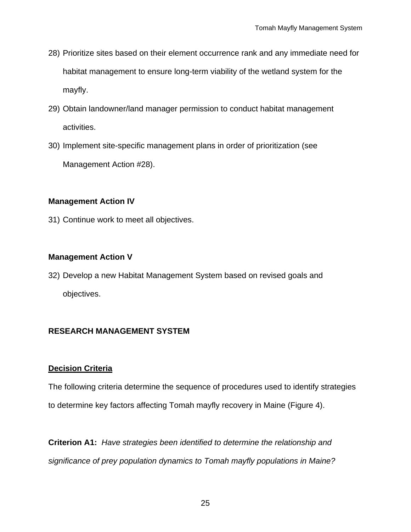- 28) Prioritize sites based on their element occurrence rank and any immediate need for habitat management to ensure long-term viability of the wetland system for the mayfly.
- 29) Obtain landowner/land manager permission to conduct habitat management activities.
- 30) Implement site-specific management plans in order of prioritization (see Management Action #28).

### **Management Action IV**

31) Continue work to meet all objectives.

## **Management Action V**

32) Develop a new Habitat Management System based on revised goals and objectives.

## **RESEARCH MANAGEMENT SYSTEM**

### **Decision Criteria**

The following criteria determine the sequence of procedures used to identify strategies to determine key factors affecting Tomah mayfly recovery in Maine (Figure 4).

**Criterion A1:** *Have strategies been identified to determine the relationship and significance of prey population dynamics to Tomah mayfly populations in Maine?*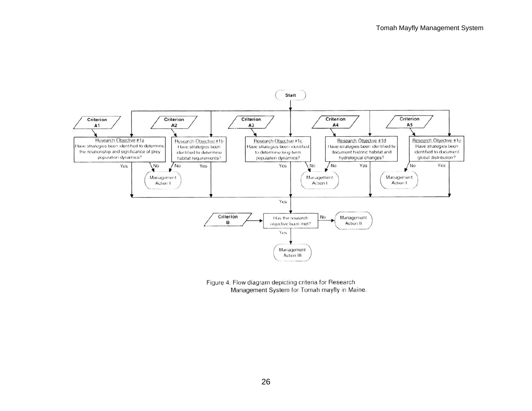![](_page_25_Figure_1.jpeg)

Figure 4. Flow diagram depicting criteria for Research Management System for Tomah mayfly in Maine.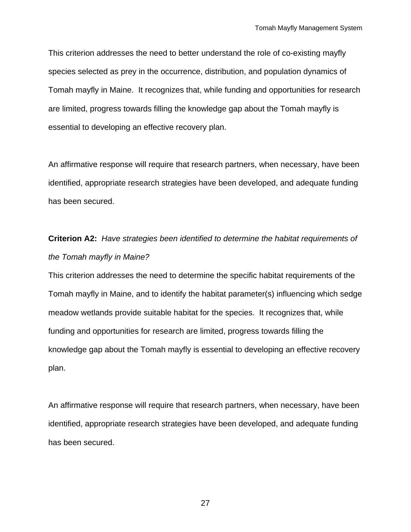This criterion addresses the need to better understand the role of co-existing mayfly species selected as prey in the occurrence, distribution, and population dynamics of Tomah mayfly in Maine. It recognizes that, while funding and opportunities for research are limited, progress towards filling the knowledge gap about the Tomah mayfly is essential to developing an effective recovery plan.

An affirmative response will require that research partners, when necessary, have been identified, appropriate research strategies have been developed, and adequate funding has been secured.

# **Criterion A2:** *Have strategies been identified to determine the habitat requirements of the Tomah mayfly in Maine?*

This criterion addresses the need to determine the specific habitat requirements of the Tomah mayfly in Maine, and to identify the habitat parameter(s) influencing which sedge meadow wetlands provide suitable habitat for the species. It recognizes that, while funding and opportunities for research are limited, progress towards filling the knowledge gap about the Tomah mayfly is essential to developing an effective recovery plan.

An affirmative response will require that research partners, when necessary, have been identified, appropriate research strategies have been developed, and adequate funding has been secured.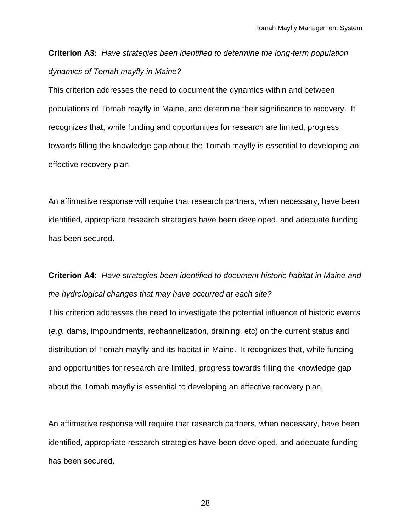## **Criterion A3:** *Have strategies been identified to determine the long-term population dynamics of Tomah mayfly in Maine?*

This criterion addresses the need to document the dynamics within and between populations of Tomah mayfly in Maine, and determine their significance to recovery. It recognizes that, while funding and opportunities for research are limited, progress towards filling the knowledge gap about the Tomah mayfly is essential to developing an effective recovery plan.

An affirmative response will require that research partners, when necessary, have been identified, appropriate research strategies have been developed, and adequate funding has been secured.

## **Criterion A4:** *Have strategies been identified to document historic habitat in Maine and the hydrological changes that may have occurred at each site?*

This criterion addresses the need to investigate the potential influence of historic events (*e.g.* dams, impoundments, rechannelization, draining, etc) on the current status and distribution of Tomah mayfly and its habitat in Maine. It recognizes that, while funding and opportunities for research are limited, progress towards filling the knowledge gap about the Tomah mayfly is essential to developing an effective recovery plan.

An affirmative response will require that research partners, when necessary, have been identified, appropriate research strategies have been developed, and adequate funding has been secured.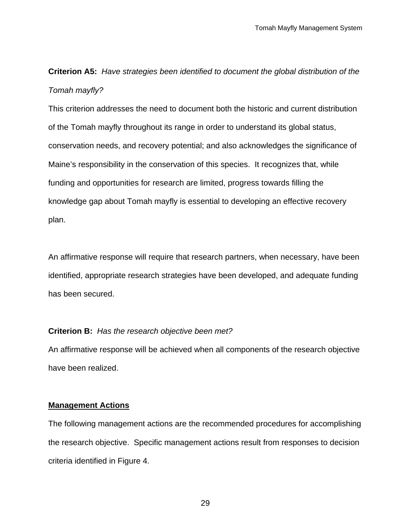**Criterion A5:** *Have strategies been identified to document the global distribution of the Tomah mayfly?* 

This criterion addresses the need to document both the historic and current distribution of the Tomah mayfly throughout its range in order to understand its global status, conservation needs, and recovery potential; and also acknowledges the significance of Maine's responsibility in the conservation of this species. It recognizes that, while funding and opportunities for research are limited, progress towards filling the knowledge gap about Tomah mayfly is essential to developing an effective recovery plan.

An affirmative response will require that research partners, when necessary, have been identified, appropriate research strategies have been developed, and adequate funding has been secured.

#### **Criterion B:** *Has the research objective been met?*

An affirmative response will be achieved when all components of the research objective have been realized.

#### **Management Actions**

The following management actions are the recommended procedures for accomplishing the research objective. Specific management actions result from responses to decision criteria identified in Figure 4.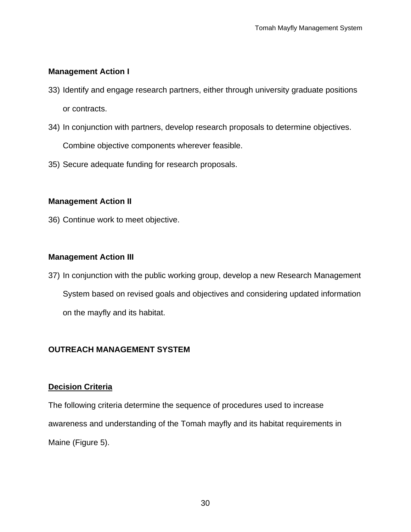### **Management Action I**

- 33) Identify and engage research partners, either through university graduate positions or contracts.
- 34) In conjunction with partners, develop research proposals to determine objectives. Combine objective components wherever feasible.
- 35) Secure adequate funding for research proposals.

### **Management Action II**

36) Continue work to meet objective.

### **Management Action III**

37) In conjunction with the public working group, develop a new Research Management System based on revised goals and objectives and considering updated information on the mayfly and its habitat.

### **OUTREACH MANAGEMENT SYSTEM**

#### **Decision Criteria**

The following criteria determine the sequence of procedures used to increase awareness and understanding of the Tomah mayfly and its habitat requirements in Maine (Figure 5).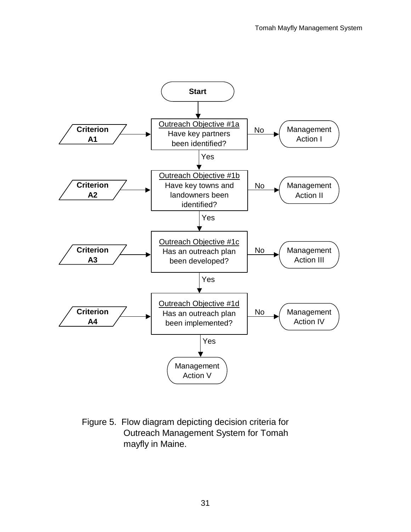![](_page_30_Figure_1.jpeg)

Figure 5. Flow diagram depicting decision criteria for Outreach Management System for Tomah mayfly in Maine.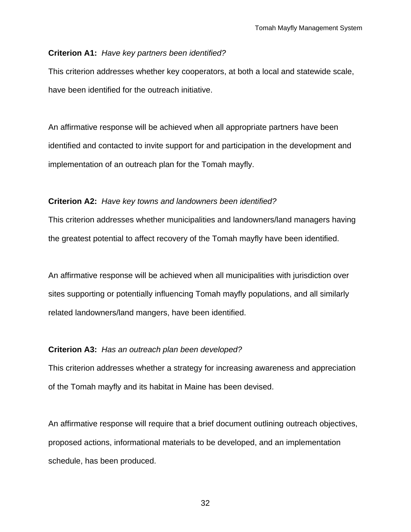#### **Criterion A1:** *Have key partners been identified?*

This criterion addresses whether key cooperators, at both a local and statewide scale, have been identified for the outreach initiative.

An affirmative response will be achieved when all appropriate partners have been identified and contacted to invite support for and participation in the development and implementation of an outreach plan for the Tomah mayfly.

#### **Criterion A2:** *Have key towns and landowners been identified?*

This criterion addresses whether municipalities and landowners/land managers having the greatest potential to affect recovery of the Tomah mayfly have been identified.

An affirmative response will be achieved when all municipalities with jurisdiction over sites supporting or potentially influencing Tomah mayfly populations, and all similarly related landowners/land mangers, have been identified.

#### **Criterion A3:** *Has an outreach plan been developed?*

This criterion addresses whether a strategy for increasing awareness and appreciation of the Tomah mayfly and its habitat in Maine has been devised.

An affirmative response will require that a brief document outlining outreach objectives, proposed actions, informational materials to be developed, and an implementation schedule, has been produced.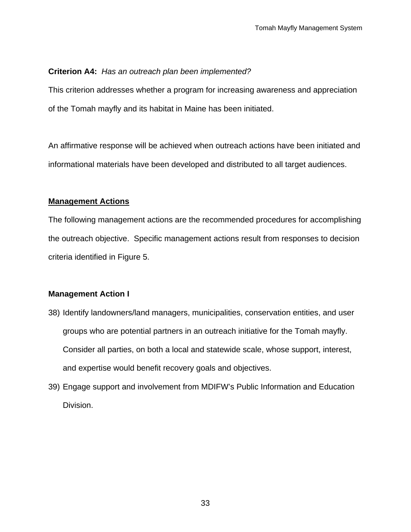### **Criterion A4:** *Has an outreach plan been implemented?*

This criterion addresses whether a program for increasing awareness and appreciation of the Tomah mayfly and its habitat in Maine has been initiated.

An affirmative response will be achieved when outreach actions have been initiated and informational materials have been developed and distributed to all target audiences.

#### **Management Actions**

The following management actions are the recommended procedures for accomplishing the outreach objective. Specific management actions result from responses to decision criteria identified in Figure 5.

### **Management Action I**

- 38) Identify landowners/land managers, municipalities, conservation entities, and user groups who are potential partners in an outreach initiative for the Tomah mayfly. Consider all parties, on both a local and statewide scale, whose support, interest, and expertise would benefit recovery goals and objectives.
- 39) Engage support and involvement from MDIFW's Public Information and Education Division.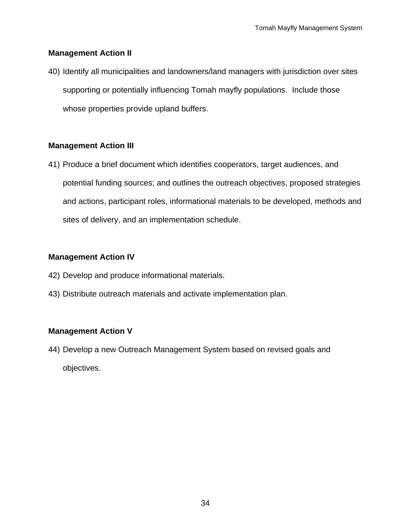#### **Management Action II**

40) Identify all municipalities and landowners/land managers with jurisdiction over sites supporting or potentially influencing Tomah mayfly populations. Include those whose properties provide upland buffers.

#### **Management Action III**

41) Produce a brief document which identifies cooperators, target audiences, and potential funding sources; and outlines the outreach objectives, proposed strategies and actions, participant roles, informational materials to be developed, methods and sites of delivery, and an implementation schedule.

### **Management Action IV**

- 42) Develop and produce informational materials.
- 43) Distribute outreach materials and activate implementation plan.

### **Management Action V**

44) Develop a new Outreach Management System based on revised goals and objectives.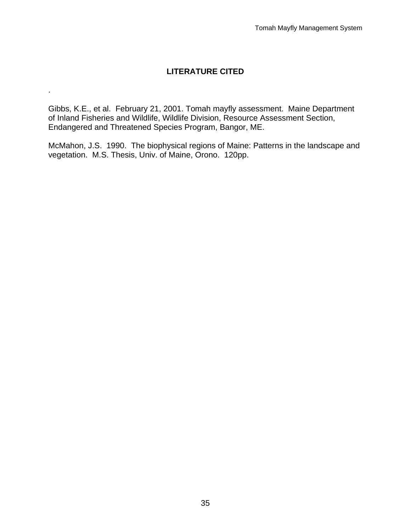## **LITERATURE CITED**

Gibbs, K.E., et al. February 21, 2001. Tomah mayfly assessment. Maine Department of Inland Fisheries and Wildlife, Wildlife Division, Resource Assessment Section, Endangered and Threatened Species Program, Bangor, ME.

.

McMahon, J.S. 1990. The biophysical regions of Maine: Patterns in the landscape and vegetation. M.S. Thesis, Univ. of Maine, Orono. 120pp.